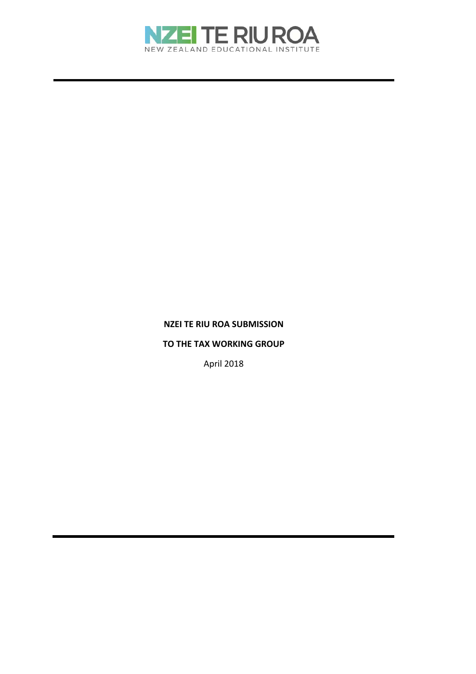

# **NZEI TE RIU ROA SUBMISSION**

#### **TO THE TAX WORKING GROUP**

April 2018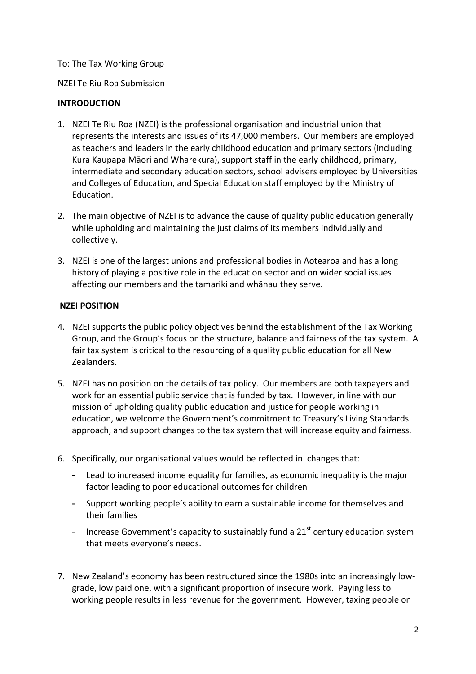# To: The Tax Working Group

NZEI Te Riu Roa Submission

# **INTRODUCTION**

- 1. NZEI Te Riu Roa (NZEI) is the professional organisation and industrial union that represents the interests and issues of its 47,000 members. Our members are employed as teachers and leaders in the early childhood education and primary sectors (including Kura Kaupapa Māori and Wharekura), support staff in the early childhood, primary, intermediate and secondary education sectors, school advisers employed by Universities and Colleges of Education, and Special Education staff employed by the Ministry of Education.
- 2. The main objective of NZEI is to advance the cause of quality public education generally while upholding and maintaining the just claims of its members individually and collectively.
- 3. NZEI is one of the largest unions and professional bodies in Aotearoa and has a long history of playing a positive role in the education sector and on wider social issues affecting our members and the tamariki and whānau they serve.

# **NZEI POSITION**

- 4. NZEI supports the public policy objectives behind the establishment of the Tax Working Group, and the Group's focus on the structure, balance and fairness of the tax system. A fair tax system is critical to the resourcing of a quality public education for all New Zealanders.
- 5. NZEI has no position on the details of tax policy. Our members are both taxpayers and work for an essential public service that is funded by tax. However, in line with our mission of upholding quality public education and justice for people working in education, we welcome the Government's commitment to Treasury's Living Standards approach, and support changes to the tax system that will increase equity and fairness.
- 6. Specifically, our organisational values would be reflected in changes that:
	- Lead to increased income equality for families, as economic inequality is the major factor leading to poor educational outcomes for children
	- Support working people's ability to earn a sustainable income for themselves and their families
	- Increase Government's capacity to sustainably fund a  $21<sup>st</sup>$  century education system that meets everyone's needs.
- 7. New Zealand's economy has been restructured since the 1980s into an increasingly low‐ grade, low paid one, with a significant proportion of insecure work. Paying less to working people results in less revenue for the government. However, taxing people on